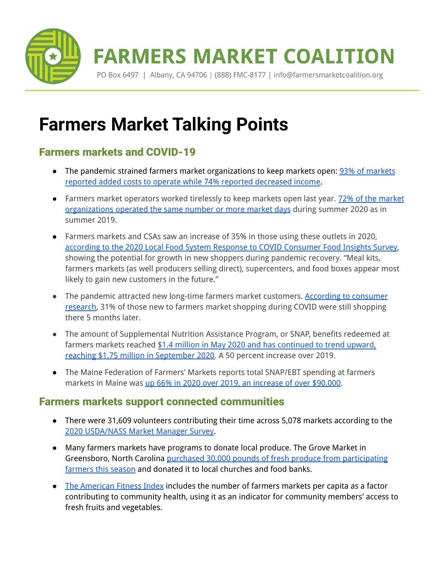

# **Farmers Market Talking Points**

## Farmers markets and COVID-19

- The pandemic strained farmers market organizations to keep [markets](https://farmersmarketcoalition.org/farmers-markets-across-the-nation-face-a-precarious-economic-situation-due-to-covid-19/) open: **93% of markets** reported added costs to operate while 74% reported [decreased](https://farmersmarketcoalition.org/farmers-markets-across-the-nation-face-a-precarious-economic-situation-due-to-covid-19/) income.
- Farmers market operators worked tirelessly to keep markets open last year. 72% of the [market](https://farmersmarketcoalition.org/how-can-fmc-help-markets-analyze-this-year/) [organizations](https://farmersmarketcoalition.org/how-can-fmc-help-markets-analyze-this-year/) operated the same number or more market days during summer 2020 as in summer 2019.
- Farmers markets and CSAs saw an increase of 35% in those using these outlets in 2020, according to the 2020 Local Food System Response to COVID [Consumer](https://lfscovid.localfoodeconomics.com/wp-content/uploads/2021/04/LFS-CFI-02-UPDATED.pdf) Food Insights Survey, showing the potential for growth in new shoppers during pandemic recovery. "Meal kits, farmers markets (as well producers selling direct), supercenters, and food boxes appear most likely to gain new customers in the future."
- The pandemic attracted new long-time farmers market customers. According to [consumer](https://lfscovid.localfoodeconomics.com/wp-content/uploads/2021/04/LFS-CFI-02-UPDATED.pdf) [research,](https://lfscovid.localfoodeconomics.com/wp-content/uploads/2021/04/LFS-CFI-02-UPDATED.pdf) 31% of those new to farmers market shopping during COVID were still shopping there 5 months later.
- The amount of Supplemental Nutrition Assistance Program, or SNAP, benefits redeemed at farmers markets reached \$1.4 million in May 2020 and has [continued](https://www.washingtonpost.com/business/2020/12/03/snap-pandemic-ebt-farmers-markets/) to trend upward, reaching \$1.75 million in [September](https://www.washingtonpost.com/business/2020/12/03/snap-pandemic-ebt-farmers-markets/) 2020. A 50 percent increase over 2019.
- The Maine Federation of Farmers' Markets reports total SNAP/EBT spending at farmers markets in Maine was up 66% in 2020 over 2019, an [increase](http://www.mainefarmersmarkets.org/maine-farmers-markets-see-major-growth-serving-food-insecure-households-during-pandemic/) of over \$90,000.

## Farmers markets support connected communities

- There were 31,609 volunteers contributing their time across 5,078 markets according to the 2020 [USDA/NASS](https://www.nass.usda.gov/Surveys/Guide_to_NASS_Surveys/Farmers_Market/index.php) Market Manager Survey.
- Many farmers markets have programs to donate local produce. The Grove Market in Greensboro, North Carolina purchased 30,000 pounds of fresh produce from [participating](https://carolinapublicpress.org/40078/black-farmers-markets-grow-in-north-carolina/) [farmers](https://carolinapublicpress.org/40078/black-farmers-markets-grow-in-north-carolina/) this season and donated it to local churches and food banks.
- The [American](https://americanfitnessindex.org/) Fitness Index includes the number of farmers markets per capita as a factor contributing to community health, using it as an indicator for community members' access to fresh fruits and vegetables.